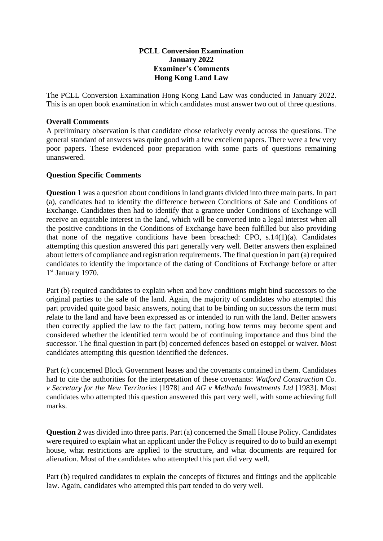## **PCLL Conversion Examination January 2022 Examiner's Comments Hong Kong Land Law**

The PCLL Conversion Examination Hong Kong Land Law was conducted in January 2022. This is an open book examination in which candidates must answer two out of three questions.

## **Overall Comments**

A preliminary observation is that candidate chose relatively evenly across the questions. The general standard of answers was quite good with a few excellent papers. There were a few very poor papers. These evidenced poor preparation with some parts of questions remaining unanswered.

## **Question Specific Comments**

**Question 1** was a question about conditions in land grants divided into three main parts. In part (a), candidates had to identify the difference between Conditions of Sale and Conditions of Exchange. Candidates then had to identify that a grantee under Conditions of Exchange will receive an equitable interest in the land, which will be converted into a legal interest when all the positive conditions in the Conditions of Exchange have been fulfilled but also providing that none of the negative conditions have been breached: CPO,  $s.14(1)(a)$ . Candidates attempting this question answered this part generally very well. Better answers then explained about letters of compliance and registration requirements. The final question in part (a) required candidates to identify the importance of the dating of Conditions of Exchange before or after 1st January 1970.

Part (b) required candidates to explain when and how conditions might bind successors to the original parties to the sale of the land. Again, the majority of candidates who attempted this part provided quite good basic answers, noting that to be binding on successors the term must relate to the land and have been expressed as or intended to run with the land. Better answers then correctly applied the law to the fact pattern, noting how terms may become spent and considered whether the identified term would be of continuing importance and thus bind the successor. The final question in part (b) concerned defences based on estoppel or waiver. Most candidates attempting this question identified the defences.

Part (c) concerned Block Government leases and the covenants contained in them. Candidates had to cite the authorities for the interpretation of these covenants: *Watford Construction Co. v Secretary for the New Territories* [1978] and *AG v Melhado Investments Ltd* [1983]. Most candidates who attempted this question answered this part very well, with some achieving full marks.

**Question 2** was divided into three parts. Part (a) concerned the Small House Policy. Candidates were required to explain what an applicant under the Policy is required to do to build an exempt house, what restrictions are applied to the structure, and what documents are required for alienation. Most of the candidates who attempted this part did very well.

Part (b) required candidates to explain the concepts of fixtures and fittings and the applicable law. Again, candidates who attempted this part tended to do very well.